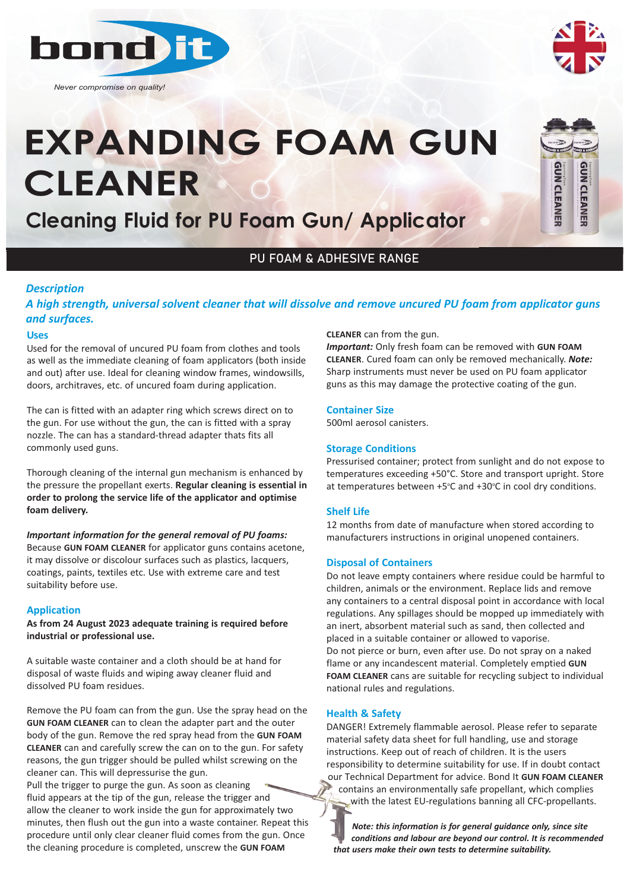

*Never compromise on quality!*



# **EXPANDING FOAM GUN CLEANER**

**Cleaning Fluid for PU Foam Gun/ Applicator**



## PU FOAM & ADHESIVE RANGE

#### *Description*

*A high strength, universal solvent cleaner that will dissolve and remove uncured PU foam from applicator guns and surfaces.*

#### **Uses**

Used for the removal of uncured PU foam from clothes and tools as well as the immediate cleaning of foam applicators (both inside and out) after use. Ideal for cleaning window frames, windowsills, doors, architraves, etc. of uncured foam during application.

The can is fitted with an adapter ring which screws direct on to the gun. For use without the gun, the can is fitted with a spray nozzle. The can has a standard-thread adapter thats fits all commonly used guns.

Thorough cleaning of the internal gun mechanism is enhanced by the pressure the propellant exerts. **Regular cleaning is essential in order to prolong the service life of the applicator and optimise foam delivery.**

*Important information for the general removal of PU foams:* Because **GUN FOAM CLEANER** for applicator guns contains acetone, it may dissolve or discolour surfaces such as plastics, lacquers, coatings, paints, textiles etc. Use with extreme care and test suitability before use.

#### **Application**

**As from 24 August 2023 adequate training is required before industrial or professional use.**

A suitable waste container and a cloth should be at hand for disposal of waste fluids and wiping away cleaner fluid and dissolved PU foam residues.

Remove the PU foam can from the gun. Use the spray head on the **GUN FOAM CLEANER** can to clean the adapter part and the outer body of the gun. Remove the red spray head from the **GUN FOAM CLEANER** can and carefully screw the can on to the gun. For safety reasons, the gun trigger should be pulled whilst screwing on the cleaner can. This will depressurise the gun.

Pull the trigger to purge the gun. As soon as cleaning fluid appears at the tip of the gun, release the trigger and allow the cleaner to work inside the gun for approximately two minutes, then flush out the gun into a waste container. Repeat this procedure until only clear cleaner fluid comes from the gun. Once the cleaning procedure is completed, unscrew the **GUN FOAM**

#### **CLEANER** can from the gun.

*Important:* Only fresh foam can be removed with **GUN FOAM CLEANER**. Cured foam can only be removed mechanically. *Note:* Sharp instruments must never be used on PU foam applicator guns as this may damage the protective coating of the gun.

#### **Container Size**

500ml aerosol canisters.

#### **Storage Conditions**

Pressurised container; protect from sunlight and do not expose to temperatures exceeding +50°C. Store and transport upright. Store at temperatures between +5°C and +30°C in cool dry conditions.

#### **Shelf Life**

12 months from date of manufacture when stored according to manufacturers instructions in original unopened containers.

#### **Disposal of Containers**

Do not leave empty containers where residue could be harmful to children, animals or the environment. Replace lids and remove any containers to a central disposal point in accordance with local regulations. Any spillages should be mopped up immediately with an inert, absorbent material such as sand, then collected and placed in a suitable container or allowed to vaporise. Do not pierce or burn, even after use. Do not spray on a naked flame or any incandescent material. Completely emptied **GUN FOAM CLEANER** cans are suitable for recycling subject to individual national rules and regulations.

#### **Health & Safety**

DANGER! Extremely flammable aerosol. Please refer to separate material safety data sheet for full handling, use and storage instructions. Keep out of reach of children. It is the users responsibility to determine suitability for use. If in doubt contact our Technical Department for advice. Bond It **GUN FOAM CLEANER** contains an environmentally safe propellant, which complies with the latest EU-regulations banning all CFC-propellants.

*Note: this information is for general guidance only, since site conditions and labour are beyond our control. It is recommended that users make their own tests to determine suitability.*